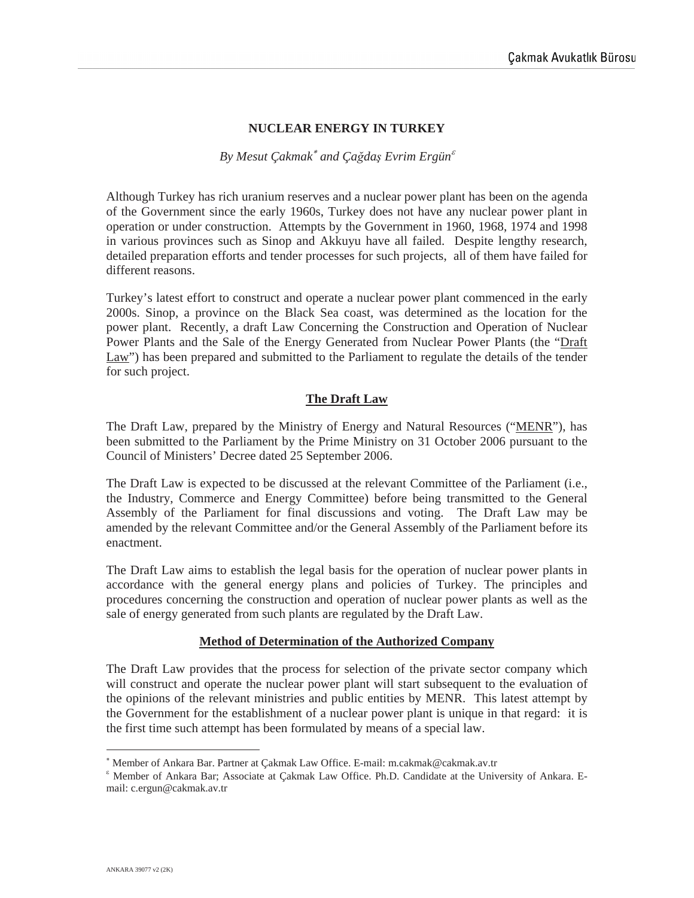# **NUCLEAR ENERGY IN TURKEY**

### *By Mesut Cakmak<sup>\*</sup> and Cağdaş Evrim Ergün<sup>* $\varepsilon$ *</sup>*

Although Turkey has rich uranium reserves and a nuclear power plant has been on the agenda of the Government since the early 1960s, Turkey does not have any nuclear power plant in operation or under construction. Attempts by the Government in 1960, 1968, 1974 and 1998 in various provinces such as Sinop and Akkuyu have all failed. Despite lengthy research, detailed preparation efforts and tender processes for such projects, all of them have failed for different reasons.

Turkey's latest effort to construct and operate a nuclear power plant commenced in the early 2000s. Sinop, a province on the Black Sea coast, was determined as the location for the power plant. Recently, a draft Law Concerning the Construction and Operation of Nuclear Power Plants and the Sale of the Energy Generated from Nuclear Power Plants (the "Draft Law") has been prepared and submitted to the Parliament to regulate the details of the tender for such project.

# **The Draft Law**

The Draft Law, prepared by the Ministry of Energy and Natural Resources ("MENR"), has been submitted to the Parliament by the Prime Ministry on 31 October 2006 pursuant to the Council of Ministers' Decree dated 25 September 2006.

The Draft Law is expected to be discussed at the relevant Committee of the Parliament (i.e., the Industry, Commerce and Energy Committee) before being transmitted to the General Assembly of the Parliament for final discussions and voting. The Draft Law may be amended by the relevant Committee and/or the General Assembly of the Parliament before its enactment.

The Draft Law aims to establish the legal basis for the operation of nuclear power plants in accordance with the general energy plans and policies of Turkey. The principles and procedures concerning the construction and operation of nuclear power plants as well as the sale of energy generated from such plants are regulated by the Draft Law.

#### **Method of Determination of the Authorized Company**

The Draft Law provides that the process for selection of the private sector company which will construct and operate the nuclear power plant will start subsequent to the evaluation of the opinions of the relevant ministries and public entities by MENR. This latest attempt by the Government for the establishment of a nuclear power plant is unique in that regard: it is the first time such attempt has been formulated by means of a special law.

 Member of Ankara Bar. Partner at Çakmak Law Office. E-mail: m.cakmak@cakmak.av.tr

<sup>&</sup>lt;sup>&</sup> Member of Ankara Bar; Associate at Çakmak Law Office. Ph.D. Candidate at the University of Ankara. Email: c.ergun@cakmak.av.tr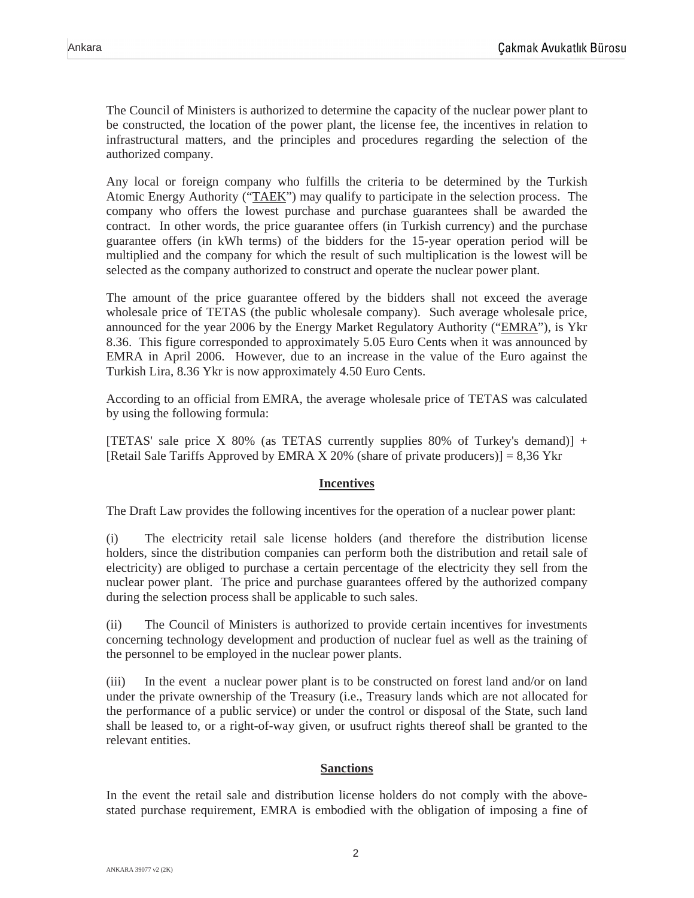The Council of Ministers is authorized to determine the capacity of the nuclear power plant to be constructed, the location of the power plant, the license fee, the incentives in relation to infrastructural matters, and the principles and procedures regarding the selection of the authorized company.

Any local or foreign company who fulfills the criteria to be determined by the Turkish Atomic Energy Authority ("TAEK") may qualify to participate in the selection process. The company who offers the lowest purchase and purchase guarantees shall be awarded the contract. In other words, the price guarantee offers (in Turkish currency) and the purchase guarantee offers (in kWh terms) of the bidders for the 15-year operation period will be multiplied and the company for which the result of such multiplication is the lowest will be selected as the company authorized to construct and operate the nuclear power plant.

The amount of the price guarantee offered by the bidders shall not exceed the average wholesale price of TETAS (the public wholesale company). Such average wholesale price, announced for the year 2006 by the Energy Market Regulatory Authority ("EMRA"), is Ykr 8.36. This figure corresponded to approximately 5.05 Euro Cents when it was announced by EMRA in April 2006. However, due to an increase in the value of the Euro against the Turkish Lira, 8.36 Ykr is now approximately 4.50 Euro Cents.

According to an official from EMRA, the average wholesale price of TETAS was calculated by using the following formula:

[TETAS' sale price X 80% (as TETAS currently supplies 80% of Turkey's demand)] + [Retail Sale Tariffs Approved by EMRA X 20% (share of private producers)] = 8,36 Ykr

# **Incentives**

The Draft Law provides the following incentives for the operation of a nuclear power plant:

(i) The electricity retail sale license holders (and therefore the distribution license holders, since the distribution companies can perform both the distribution and retail sale of electricity) are obliged to purchase a certain percentage of the electricity they sell from the nuclear power plant. The price and purchase guarantees offered by the authorized company during the selection process shall be applicable to such sales.

(ii) The Council of Ministers is authorized to provide certain incentives for investments concerning technology development and production of nuclear fuel as well as the training of the personnel to be employed in the nuclear power plants.

(iii) In the event a nuclear power plant is to be constructed on forest land and/or on land under the private ownership of the Treasury (i.e., Treasury lands which are not allocated for the performance of a public service) or under the control or disposal of the State, such land shall be leased to, or a right-of-way given, or usufruct rights thereof shall be granted to the relevant entities.

#### **Sanctions**

In the event the retail sale and distribution license holders do not comply with the abovestated purchase requirement, EMRA is embodied with the obligation of imposing a fine of